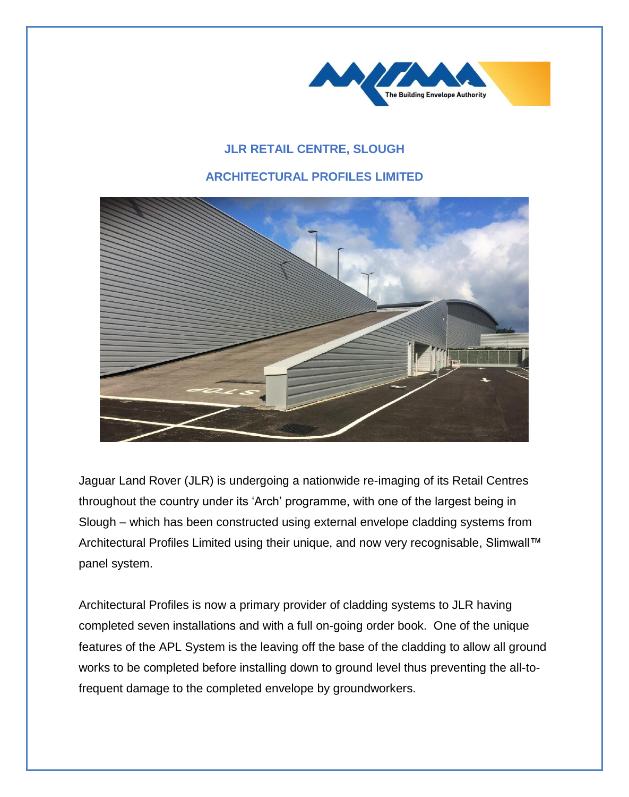

## **JLR RETAIL CENTRE, SLOUGH**

## **ARCHITECTURAL PROFILES LIMITED**



Jaguar Land Rover (JLR) is undergoing a nationwide re-imaging of its Retail Centres throughout the country under its 'Arch' programme, with one of the largest being in Slough – which has been constructed using external envelope cladding systems from Architectural Profiles Limited using their unique, and now very recognisable, Slimwall™ panel system.

Architectural Profiles is now a primary provider of cladding systems to JLR having completed seven installations and with a full on-going order book. One of the unique features of the APL System is the leaving off the base of the cladding to allow all ground works to be completed before installing down to ground level thus preventing the all-tofrequent damage to the completed envelope by groundworkers.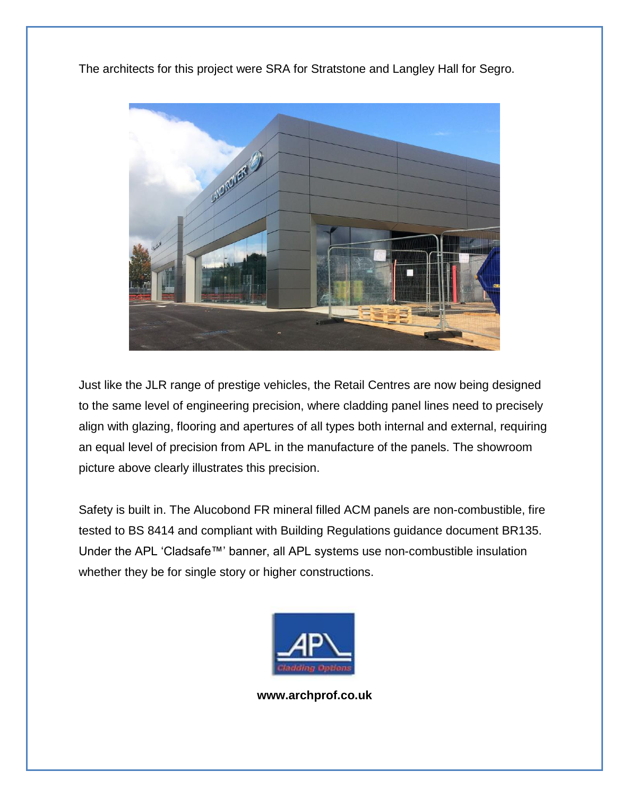The architects for this project were SRA for Stratstone and Langley Hall for Segro.



Just like the JLR range of prestige vehicles, the Retail Centres are now being designed to the same level of engineering precision, where cladding panel lines need to precisely align with glazing, flooring and apertures of all types both internal and external, requiring an equal level of precision from APL in the manufacture of the panels. The showroom picture above clearly illustrates this precision.

Safety is built in. The Alucobond FR mineral filled ACM panels are non-combustible, fire tested to BS 8414 and compliant with Building Regulations guidance document BR135. Under the APL 'Cladsafe™' banner, all APL systems use non-combustible insulation whether they be for single story or higher constructions.



**www.archprof.co.uk**